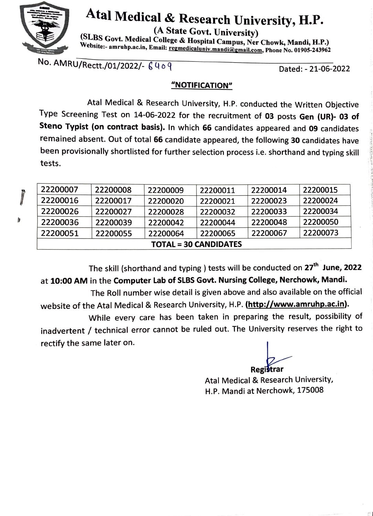

## **Atal Medical** & **Research University, H.P.**

**(A State Govt. University)** 

**(SLBS Govt. Medical College** & **Hospital Campus, Ner Chowk, Mandi, H.P.)**  Website:- amruhp.ac.in, Email: <u>regmedicaluniv.mandi@gmail.com</u>, Phone No. 01905-243962

No. AMRU/Rectt./01/2022/-  $6409$ 

Dated: - 21-06-2022

 $\frac{1}{2}$ the holes.  $2 \times 2$ lj'. 'l

i dan sati

l\ d *:;* 

 $\mathbb{S}^1$ 

## **"NOTIFICATION"**

Atal Medical & Research University, H.P. conducted the Written Objective Type Screening Test on 14-06-2022 for the recruitment of **03** posts **Gen {UR)- 03 of Steno Typist (on contract basis).** In which **66** candidates appeared and **09** candidates remained absent. Out of total **66** candidate appeared, the following **30** candidates have been provisionally shortlisted for further selection process i.e. shorthand and typing skill tests.

| <b>TOTAL = 30 CANDIDATES</b> |          |          |          |          |          |  |
|------------------------------|----------|----------|----------|----------|----------|--|
| 22200051                     | 22200055 | 22200064 | 22200065 | 22200067 | 22200073 |  |
| 22200036                     | 22200039 | 22200042 | 22200044 | 22200048 | 22200050 |  |
| 22200026                     | 22200027 | 22200028 | 22200032 | 22200033 | 22200034 |  |
| 22200016                     | 22200017 | 22200020 | 22200021 | 22200023 | 22200024 |  |
| 22200007                     | 22200008 | 22200009 | 22200011 | 22200014 | 22200015 |  |

The skill (shorthand and typing ) tests will be conducted on **27th June, 2022**  at **10:00 AM** in the **Computer Lab of SLBS Govt. Nursing College, Nerchowk, Mandi.** 

The Roll number wise detail is given above and also available on the official website of the Atal Medical & Research University, H.P. **(http://www.amruhp.ac.in).** 

While every care has been taken in preparing the result, possibility of inadvertent / technical error cannot be ruled out. The University reserves the right to<br>rectify the same later on.

**Registrar** 

Atal Medical & Research University, H.P. Mandi at Nerchowk, 175008